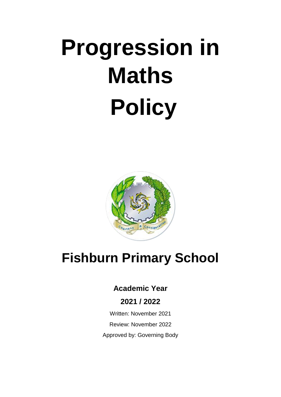# **Progression in Maths Policy**



# **Fishburn Primary School**

## **Academic Year**

### **2021 / 2022**

Written: November 2021 Review: November 2022 Approved by: Governing Body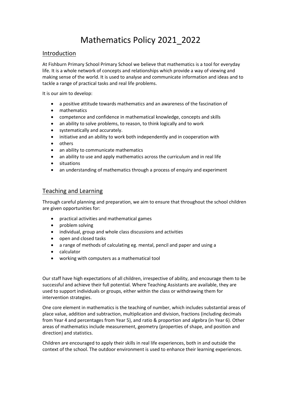# Mathematics Policy 2021\_2022

#### Introduction

At Fishburn Primary School Primary School we believe that mathematics is a tool for everyday life. It is a whole network of concepts and relationships which provide a way of viewing and making sense of the world. It is used to analyse and communicate information and ideas and to tackle a range of practical tasks and real life problems.

It is our aim to develop:

- a positive attitude towards mathematics and an awareness of the fascination of
- mathematics
- competence and confidence in mathematical knowledge, concepts and skills
- an ability to solve problems, to reason, to think logically and to work
- systematically and accurately.
- initiative and an ability to work both independently and in cooperation with
- others
- an ability to communicate mathematics
- an ability to use and apply mathematics across the curriculum and in real life
- situations
- an understanding of mathematics through a process of enquiry and experiment

#### Teaching and Learning

Through careful planning and preparation, we aim to ensure that throughout the school children are given opportunities for:

- practical activities and mathematical games
- problem solving
- individual, group and whole class discussions and activities
- open and closed tasks
- a range of methods of calculating eg. mental, pencil and paper and using a
- calculator
- working with computers as a mathematical tool

Our staff have high expectations of all children, irrespective of ability, and encourage them to be successful and achieve their full potential. Where Teaching Assistants are available, they are used to support individuals or groups, either within the class or withdrawing them for intervention strategies.

One core element in mathematics is the teaching of number, which includes substantial areas of place value, addition and subtraction, multiplication and division, fractions (including decimals from Year 4 and percentages from Year 5), and ratio & proportion and algebra (in Year 6). Other areas of mathematics include measurement, geometry (properties of shape, and position and direction) and statistics.

Children are encouraged to apply their skills in real life experiences, both in and outside the context of the school. The outdoor environment is used to enhance their learning experiences.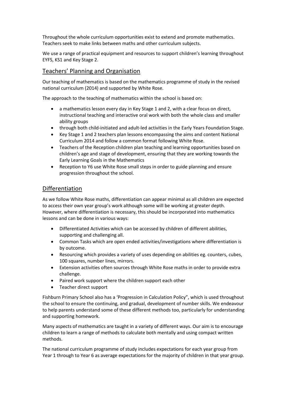Throughout the whole curriculum opportunities exist to extend and promote mathematics. Teachers seek to make links between maths and other curriculum subjects.

We use a range of practical equipment and resources to support children's learning throughout EYFS, KS1 and Key Stage 2.

#### Teachers' Planning and Organisation

Our teaching of mathematics is based on the mathematics programme of study in the revised national curriculum (2014) and supported by White Rose.

The approach to the teaching of mathematics within the school is based on:

- a mathematics lesson every day in Key Stage 1 and 2, with a clear focus on direct, instructional teaching and interactive oral work with both the whole class and smaller ability groups
- through both child-initiated and adult-led activities in the Early Years Foundation Stage.
- Key Stage 1 and 2 teachers plan lessons encompassing the aims and content National Curriculum 2014 and follow a common format following White Rose.
- Teachers of the Reception children plan teaching and learning opportunities based on children's age and stage of development, ensuring that they are working towards the Early Learning Goals in the Mathematics
- Reception to Y6 use White Rose small steps in order to guide planning and ensure progression throughout the school.

#### Differentiation

As we follow White Rose maths, differentiation can appear minimal as all children are expected to access their own year group's work although some will be working at greater depth. However, where differentiation is necessary, this should be incorporated into mathematics lessons and can be done in various ways:

- Differentiated Activities which can be accessed by children of different abilities, supporting and challenging all.
- Common Tasks which are open ended activities/investigations where differentiation is by outcome.
- Resourcing which provides a variety of uses depending on abilities eg. counters, cubes, 100 squares, number lines, mirrors.
- Extension activities often sources through White Rose maths in order to provide extra challenge.
- Paired work support where the children support each other
- Teacher direct support

Fishburn Primary School also has a 'Progression in Calculation Policy", which is used throughout the school to ensure the continuing, and gradual, development of number skills. We endeavour to help parents understand some of these different methods too, particularly for understanding and supporting homework.

Many aspects of mathematics are taught in a variety of different ways. Our aim is to encourage children to learn a range of methods to calculate both mentally and using compact written methods.

The national curriculum programme of study includes expectations for each year group from Year 1 through to Year 6 as average expectations for the majority of children in that year group.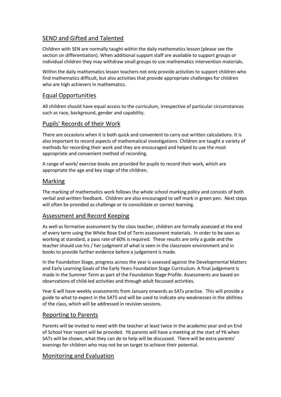#### SEND and Gifted and Talented

Children with SEN are normally taught within the daily mathematics lesson (please see the section on differentiation). When additional support staff are available to support groups or individual children they may withdraw small groups to use mathematics intervention materials.

Within the daily mathematics lesson teachers not only provide activities to support children who find mathematics difficult, but also activities that provide appropriate challenges for children who are high achievers in mathematics.

#### Equal Opportunities

All children should have equal access to the curriculum, irrespective of particular circumstances such as race, background, gender and capability.

#### Pupils' Records of their Work

There are occasions when it is both quick and convenient to carry out written calculations. It is also important to record aspects of mathematical investigations. Children are taught a variety of methods for recording their work and they are encouraged and helped to use the most appropriate and convenient method of recording.

A range of work/ exercise books are provided for pupils to record their work, which are appropriate the age and key stage of the children.

#### **Marking**

The marking of mathematics work follows the whole school marking policy and consists of both verbal and written feedback. Children are also encouraged to self mark in green pen. Next steps will often be provided as challenge or to consolidate or correct learning.

#### Assessment and Record Keeping

As well as formative assessment by the class teacher, children are formally assessed at the end of every term using the White Rose End of Term assessment materials. In order to be seen as working at standard, a pass rate of 60% is required. These results are only a guide and the teacher should use his / her judgment of what is seen in the classroom environment and in books to provide further evidence before a judgement is made.

In the Foundation Stage, progress across the year is assessed against the Developmental Matters and Early Learning Goals of the Early Years Foundation Stage Curriculum. A final judgement is made in the Summer Term as part of the Foundation Stage Profile. Assessments are based on observations of child-led activities and through adult focussed activities.

Year 6 will have weekly assessments from January onwards as SATs practise. This will provide a guide to what to expect in the SATS and will be used to indicate any weaknesses in the abilities of the class, which will be addressed in revision sessions.

#### Reporting to Parents

Parents will be invited to meet with the teacher at least twice in the academic year and an End of School Year report will be provided. Y6 parents will have a meeting at the start of Y6 when SATs will be shown, what they can do to help will be discussed. There will be extra parents' evenings for children who may not be on target to achieve their potential.

#### Monitoring and Evaluation